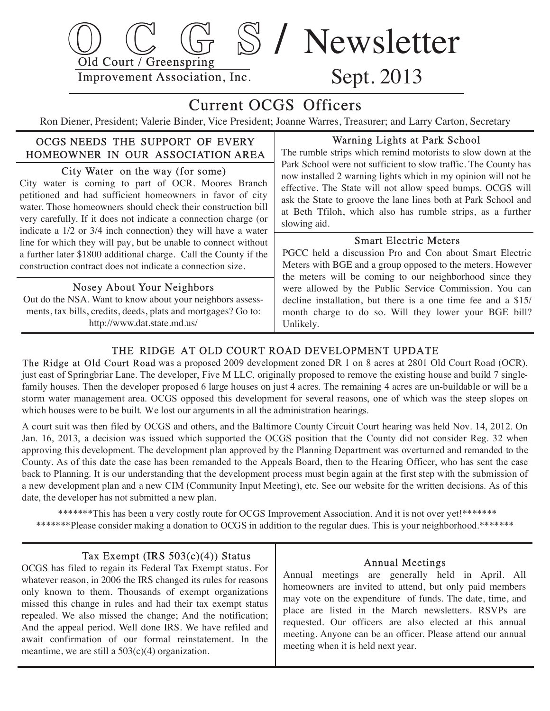

## Current OCGS Officers

Ron Diener, President; Valerie Binder, Vice President; Joanne Warres, Treasurer; and Larry Carton, Secretary

#### OCGS NEEDS THE SUPPORT OF EVERY HOMEOWNER IN OUR ASSOCIATION AREA

City Water on the way (for some)

 City water is coming to part of OCR. Moores Branch petitioned and had sufficient homeowners in favor of city water. Those homeowners should check their construction bill very carefully. If it does not indicate a connection charge (or indicate a 1/2 or 3/4 inch connection) they will have a water line for which they will pay, but be unable to connect without a further later \$1800 additional charge. Call the County if the construction contract does not indicate a connection size.

#### Nosey About Your Neighbors

 Out do the NSA. Want to know about your neighbors assess ments, tax bills, credits, deeds, plats and mortgages? Go to: http://www.dat.state.md.us/

#### Warning Lights at Park School

 The rumble strips which remind motorists to slow down at the Park School were not sufficient to slow traffic. The County has now installed 2 warning lights which in my opinion will not be effective. The State will not allow speed bumps. OCGS will ask the State to groove the lane lines both at Park School and at Beth Tfiloh, which also has rumble strips, as a further slowing aid.

#### Smart Electric Meters

 PGCC held a discussion Pro and Con about Smart Electric Meters with BGE and a group opposed to the meters. However the meters will be coming to our neighborhood since they were allowed by the Public Service Commission. You can decline installation, but there is a one time fee and a \$15/ month charge to do so. Will they lower your BGE bill? Unlikely.

#### THE RIDGE AT OLD COURT ROAD DEVELOPMENT UPDATE

 The Ridge at Old Court Road was a proposed 2009 development zoned DR 1 on 8 acres at 2801 Old Court Road (OCR), just east of Springbriar Lane. The developer, Five M LLC, originally proposed to remove the existing house and build 7 single family houses. Then the developer proposed 6 large houses on just 4 acres. The remaining 4 acres are un-buildable or will be a storm water management area. OCGS opposed this development for several reasons, one of which was the steep slopes on which houses were to be built. We lost our arguments in all the administration hearings.

A court suit was then filed by OCGS and others, and the Baltimore County Circuit Court hearing was held Nov. 14, 2012. On Jan. 16, 2013, a decision was issued which supported the OCGS position that the County did not consider Reg. 32 when approving this development. The development plan approved by the Planning Department was overturned and remanded to the County. As of this date the case has been remanded to the Appeals Board, then to the Hearing Officer , who has sent the case back to Planning. It is our understanding that the development process must begin again at the first step with the submission of a new development plan and a new CIM (Community Input Meeting), etc. See our website for the written decisions. As of this date, the developer has not submitted a new plan.

\*\*\*\*\*\*\*This has been a very costly route for OCGS Improvement Association. And it is not over yet!\*\*\*\*\*\*\* \*\*\*\*\*\*\*Please consider making a donation to OCGS in addition to the regular dues. This is your neighborhood.\*\*\*\*\*\*\*

#### Tax Exempt (IRS 503(c)(4)) Status

 OCGS has filed to regain its Federal Tax Exempt status. For whatever reason, in 2006 the IRS changed its rules for reasons only known to them. Thousands of exempt organizations missed this change in rules and had their tax exempt status repealed. We also missed the change; And the notification; And the appeal period. Well done IRS. We have refiled and await confirmation of our formal reinstatement. In the meantime, we are still a  $503(c)(4)$  organization.

#### Annual Meetings

 Annual meetings are generally held in April. All homeowners are invited to attend, but only paid members may vote on the expenditure of funds. The date, time, and place are listed in the March newsletters. RSVPs are requested. Our officers are also elected at this annual meeting. Anyone can be an officer. Please attend our annual meeting when it is held next year.